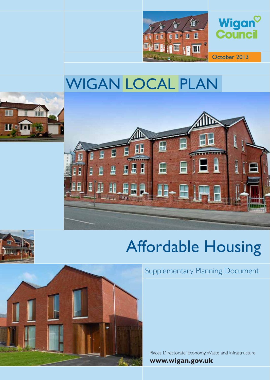

## WIGAN LOCAL PLAN







# Affordable Housing



Supplementary Planning Document

Places Directorate: Economy,Waste and Infrastructure **www.wigan.gov.uk**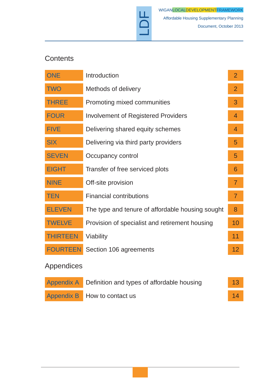

## **Contents**

| <b>ONE</b>      | Introduction                                     | $\overline{2}$ |
|-----------------|--------------------------------------------------|----------------|
| <b>TWO</b>      | Methods of delivery                              | $\overline{2}$ |
| <b>THREE</b>    | Promoting mixed communities                      | 3              |
| <b>FOUR</b>     | <b>Involvement of Registered Providers</b>       | $\overline{4}$ |
| <b>FIVE</b>     | Delivering shared equity schemes                 | $\overline{4}$ |
| <b>SIX</b>      | Delivering via third party providers             | 5              |
| <b>SEVEN</b>    | Occupancy control                                | 5              |
| <b>EIGHT</b>    | Transfer of free serviced plots                  | 6              |
| <b>NINE</b>     | Off-site provision                               | $\overline{7}$ |
| <b>TEN</b>      | <b>Financial contributions</b>                   | $\overline{7}$ |
| <b>ELEVEN</b>   | The type and tenure of affordable housing sought | 8              |
| <b>TWELVE</b>   | Provision of specialist and retirement housing   | 10             |
| <b>THIRTEEN</b> | Viability                                        | 11             |
| <b>FOURTEEN</b> | Section 106 agreements                           | 12             |
| Appendices      |                                                  |                |

 $\overline{D}$ 

| Appendix A Definition and types of affordable housing | 13 <sup>°</sup> |
|-------------------------------------------------------|-----------------|
| Appendix B How to contact us                          | 14              |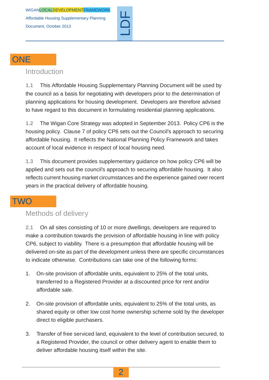

#### **ONE**

#### <span id="page-3-0"></span>**Introduction**

**1.1** This Affordable Housing Supplementary Planning Document will be used by the council as a basis for negotiating with developers prior to the determination of planning applications for housing development. Developers are therefore advised to have regard to this document in formulating residential planning applications.

**1.2** The Wigan Core Strategy was adopted in September 2013. Policy CP6 is the housing policy. Clause 7 of policy CP6 sets out the Council's approach to securing affordable housing. It reflects the National Planning Policy Framework and takes account of local evidence in respect of local housing need.

**1.3** This document provides supplementary guidance on how policy CP6 will be applied and sets out the council's approach to securing affordable housing. It also reflects current housing market circumstances and the experience gained over recent years in the practical delivery of affordable housing.

## <span id="page-3-1"></span>**TWO**

#### Methods of delivery

**2.1** On all sites consisting of 10 or more dwellings, developers are required to make a contribution towards the provision of affordable housing in line with policy CP6, subject to viability. There is a presumption that affordable housing will be delivered on-site as part of the development unless there are specific circumstances to indicate otherwise. Contributions can take one of the following forms:

- 1. On-site provision of affordable units, equivalent to 25% of the total units, transferred to a Registered Provider at a discounted price for rent and/or affordable sale.
- 2. On-site provision of affordable units, equivalent to 25% of the total units, as shared equity or other low cost home ownership scheme sold by the developer direct to eligible purchasers.
- 3. Transfer of free serviced land, equivalent to the level of contribution secured, to a Registered Provider, the council or other delivery agent to enable them to deliver affordable housing itself within the site.

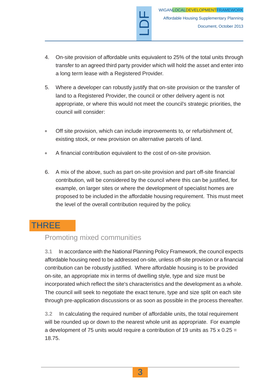4. On-site provision of affordable units equivalent to 25% of the total units through transfer to an agreed third party provider which will hold the asset and enter into a long term lease with a Registered Provider.

LDF

- 5. Where a developer can robustly justify that on-site provision or the transfer of land to a Registered Provider, the council or other delivery agent is not appropriate, or where this would not meet the council's strategic priorities, the council will consider:
- Off site provision, which can include improvements to, or refurbishment of,  $\bullet$ existing stock, or new provision on alternative parcels of land.
- A financial contribution equivalent to the cost of on-site provision.  $\bullet$
- 6. A mix of the above, such as part on-site provision and part off-site financial contribution, will be considered by the council where this can be justified, for example, on larger sites or where the development of specialist homes are proposed to be included in the affordable housing requirement. This must meet the level of the overall contribution required by the policy.

## <span id="page-4-0"></span>THREE

## Promoting mixed communities

**3.1** In accordance with the National Planning Policy Framework, the council expects affordable housing need to be addressed on-site, unless off-site provision or a financial contribution can be robustly justified. Where affordable housing is to be provided on-site, an appropriate mix in terms of dwelling style, type and size must be incorporated which reflect the site's characteristics and the development as a whole. The council will seek to negotiate the exact tenure, type and size split on each site through pre-application discussions or as soon as possible in the process thereafter.

**3.2** In calculating the required number of affordable units, the total requirement will be rounded up or down to the nearest whole unit as appropriate. For example a development of 75 units would require a contribution of 19 units as 75 x 0.25 = 18.75.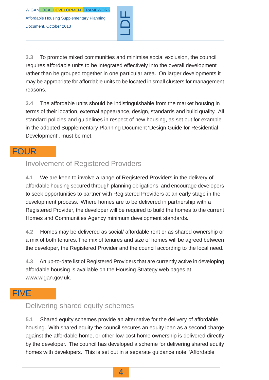

**3.3** To promote mixed communities and minimise social exclusion, the council requires affordable units to be integrated effectively into the overall development rather than be grouped together in one particular area. On larger developments it may be appropriate for affordable units to be located in small clusters for management reasons.

**3.4** The affordable units should be indistinguishable from the market housing in terms of their location, external appearance, design, standards and build quality. All standard policies and guidelines in respect of new housing, as set out for example in the adopted Supplementary Planning Document 'Design Guide for Residential Development', must be met.

### <span id="page-5-0"></span>FOUR

### Involvement of Registered Providers

**4.1** We are keen to involve a range of Registered Providers in the delivery of affordable housing secured through planning obligations, and encourage developers to seek opportunities to partner with Registered Providers at an early stage in the development process. Where homes are to be delivered in partnership with a Registered Provider, the developer will be required to build the homes to the current Homes and Communities Agency minimum development standards.

**4.2** Homes may be delivered as social/ affordable rent or as shared ownership or a mix of both tenures.The mix of tenures and size of homes will be agreed between the developer, the Registered Provider and the council according to the local need.

<span id="page-5-1"></span>**4.3** An up-to-date list of Registered Providers that are currently active in developing affordable housing is available on the Housing Strategy web pages at www.wigan.gov.uk.

## FIVE

#### Delivering shared equity schemes

**5.1** Shared equity schemes provide an alternative for the delivery of affordable housing. With shared equity the council secures an equity loan as a second charge against the affordable home, or other low-cost home ownership is delivered directly by the developer. The council has developed a scheme for delivering shared equity homes with developers. This is set out in a separate guidance note: 'Affordable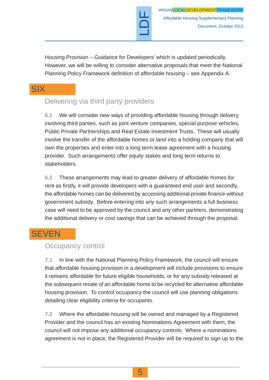Housing Provision – Guidance for Developers' which is updated periodically. However, we will be willing to consider alternative proposals that meet the National Planning Policy Framework definition of affordable housing – see Appendix A.

LDF

## <span id="page-6-0"></span>**SIX**

## Delivering via third party providers

**6.1** We will consider new ways of providing affordable housing through delivery involving third parties, such as joint venture companies, special purpose vehicles, Public Private Partnerships and Real Estate Investment Trusts. These will usually involve the transfer of the affordable homes or land into a holding company that will own the properties and enter into a long term lease agreement with a housing provider. Such arrangements offer equity stakes and long term returns to stakeholders.

**6.2** These arrangements may lead to greater delivery of affordable homes for rent as firstly, it will provide developers with a guaranteed end user and secondly, the affordable homes can be delivered by accessing additional private finance without government subsidy. Before entering into any such arrangements a full business case will need to be approved by the council and any other partners, demonstrating the additional delivery or cost savings that can be achieved through the proposal.

## <span id="page-6-1"></span>**SEVEN**

#### Occupancy control

**7.1** In line with the National Planning Policy Framework, the council will ensure that affordable housing provision in a development will include provisions to ensure it remains affordable for future eligible households, or for any subsidy released at the subsequent resale of an affordable home to be recycled for alternative affordable housing provision. To control occupancy the council will use planning obligations detailing clear eligibility criteria for occupants.

**7.2** Where the affordable housing will be owned and managed by a Registered Provider and the council has an existing Nominations Agreement with them, the council will not impose any additional occupancy controls. Where a nominations agreement is not in place, the Registered Provider will be required to sign up to the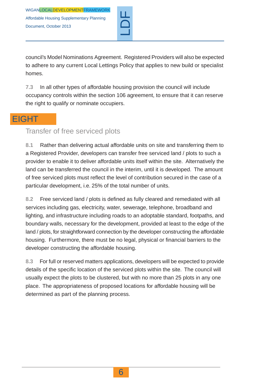

council's Model Nominations Agreement. Registered Providers will also be expected to adhere to any current Local Lettings Policy that applies to new build or specialist homes.

**7.3** In all other types of affordable housing provision the council will include occupancy controls within the section 106 agreement, to ensure that it can reserve the right to qualify or nominate occupiers.

## <span id="page-7-0"></span>**EIGHT**

#### Transfer of free serviced plots

**8.1** Rather than delivering actual affordable units on site and transferring them to a Registered Provider, developers can transfer free serviced land / plots to such a provider to enable it to deliver affordable units itself within the site. Alternatively the land can be transferred the council in the interim, until it is developed. The amount of free serviced plots must reflect the level of contribution secured in the case of a particular development, i.e. 25% of the total number of units.

**8.2** Free serviced land / plots is defined as fully cleared and remediated with all services including gas, electricity, water, sewerage, telephone, broadband and lighting, and infrastructure including roads to an adoptable standard, footpaths, and boundary walls, necessary for the development, provided at least to the edge of the land / plots, for straightforward connection by the developer constructing the affordable housing. Furthermore, there must be no legal, physical or financial barriers to the developer constructing the affordable housing.

**8.3** For full or reserved matters applications, developers will be expected to provide details of the specific location of the serviced plots within the site. The council will usually expect the plots to be clustered, but with no more than 25 plots in any one place. The appropriateness of proposed locations for affordable housing will be determined as part of the planning process.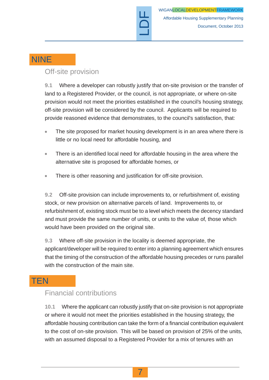

## NINE

#### <span id="page-8-0"></span>Off-site provision

**9.1** Where a developer can robustly justify that on-site provision or the transfer of land to a Registered Provider, or the council, is not appropriate, or where on-site provision would not meet the priorities established in the council's housing strategy, off-site provision will be considered by the council. Applicants will be required to provide reasoned evidence that demonstrates, to the council's satisfaction, that:

- The site proposed for market housing development is in an area where there is little or no local need for affordable housing, and
- There is an identified local need for affordable housing in the area where the  $\blacksquare$ alternative site is proposed for affordable homes, or
- There is other reasoning and justification for off-site provision.

**9.2** Off-site provision can include improvements to, or refurbishment of, existing stock, or new provision on alternative parcels of land. Improvements to, or refurbishment of, existing stock must be to a level which meets the decency standard and must provide the same number of units, or units to the value of, those which would have been provided on the original site.

**9.3** Where off-site provision in the locality is deemed appropriate, the applicant/developer will be required to enter into a planning agreement which ensures that the timing of the construction of the affordable housing precedes or runs parallel with the construction of the main site.

## <span id="page-8-1"></span>**TEN**

#### Financial contributions

**10.1** Where the applicant can robustly justify that on-site provision is not appropriate or where it would not meet the priorities established in the housing strategy, the affordable housing contribution can take the form of a financial contribution equivalent to the cost of on-site provision. This will be based on provision of 25% of the units, with an assumed disposal to a Registered Provider for a mix of tenures with an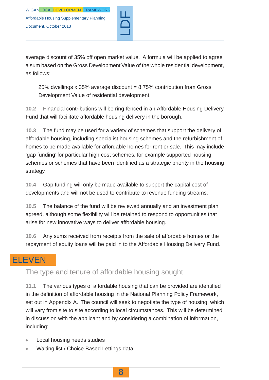

average discount of 35% off open market value. A formula will be applied to agree a sum based on the Gross Development Value of the whole residential development, as follows:

25% dwellings  $x$  35% average discount = 8.75% contribution from Gross Development Value of residential development.

**10.2** Financial contributions will be ring-fenced in an Affordable Housing Delivery Fund that will facilitate affordable housing delivery in the borough.

**10.3** The fund may be used for a variety of schemes that support the delivery of affordable housing, including specialist housing schemes and the refurbishment of homes to be made available for affordable homes for rent or sale. This may include 'gap funding' for particular high cost schemes, for example supported housing schemes or schemes that have been identified as a strategic priority in the housing strategy.

**10.4** Gap funding will only be made available to support the capital cost of developments and will not be used to contribute to revenue funding streams.

**10.5** The balance of the fund will be reviewed annually and an investment plan agreed, although some flexibility will be retained to respond to opportunities that arise for new innovative ways to deliver affordable housing.

<span id="page-9-0"></span>**10.6** Any sums received from receipts from the sale of affordable homes or the repayment of equity loans will be paid in to the Affordable Housing Delivery Fund.

## ELEVEN

The type and tenure of affordable housing sought

**11.1** The various types of affordable housing that can be provided are identified in the definition of affordable housing in the National Planning Policy Framework, set out in Appendix A. The council will seek to negotiate the type of housing, which will vary from site to site according to local circumstances. This will be determined in discussion with the applicant and by considering a combination of information, including:

- Local housing needs studies  $\bullet$
- Waiting list / Choice Based Lettings data  $\bullet$

8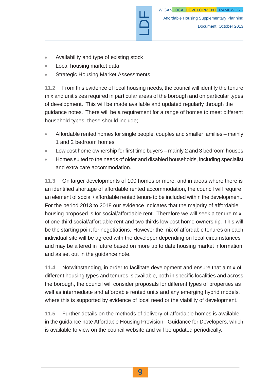

- Availability and type of existing stock
- Local housing market data
- Strategic Housing Market Assessments

**11.2** From this evidence of local housing needs, the council will identify the tenure mix and unit sizes required in particular areas of the borough and on particular types of development. This will be made available and updated regularly through the guidance notes. There will be a requirement for a range of homes to meet different household types, these should include;

LDF

- Affordable rented homes for single people, couples and smaller families mainly  $\bullet$ 1 and 2 bedroom homes
- Low cost home ownership for first time buyers mainly 2 and 3 bedroom houses
- Homes suited to the needs of older and disabled households, including specialist and extra care accommodation.

**11.3** On larger developments of 100 homes or more, and in areas where there is an identified shortage of affordable rented accommodation, the council will require an element of social / affordable rented tenure to be included within the development. For the period 2013 to 2018 our evidence indicates that the majority of affordable housing proposed is for social/affordable rent. Therefore we will seek a tenure mix of one-third social/affordable rent and two-thirds low cost home ownership. This will be the starting point for negotiations. However the mix of affordable tenures on each individual site will be agreed with the developer depending on local circumstances and may be altered in future based on more up to date housing market information and as set out in the guidance note.

**11.4** Notwithstanding, in order to facilitate development and ensure that a mix of different housing types and tenures is available, both in specific localities and across the borough, the council will consider proposals for different types of properties as well as intermediate and affordable rented units and any emerging hybrid models, where this is supported by evidence of local need or the viability of development.

**11.5** Further details on the methods of delivery of affordable homes is available in the guidance note Affordable Housing Provision - Guidance for Developers, which is available to view on the council website and will be updated periodically.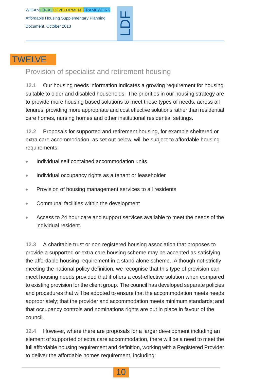

## **TWELVE**

### <span id="page-11-0"></span>Provision of specialist and retirement housing

**12.1** Our housing needs information indicates a growing requirement for housing suitable to older and disabled households. The priorities in our housing strategy are to provide more housing based solutions to meet these types of needs, across all tenures, providing more appropriate and cost effective solutions rather than residential care homes, nursing homes and other institutional residential settings.

**12.2** Proposals for supported and retirement housing, for example sheltered or extra care accommodation, as set out below, will be subject to affordable housing requirements:

- Individual self contained accommodation units  $\bullet$
- Individual occupancy rights as a tenant or leaseholder  $\blacksquare$
- Provision of housing management services to all residents  $\ddot{\phantom{a}}$
- Communal facilities within the development
- Access to 24 hour care and support services available to meet the needs of the  $\bullet$ individual resident.

**12.3** A charitable trust or non registered housing association that proposes to provide a supported or extra care housing scheme may be accepted as satisfying the affordable housing requirement in a stand alone scheme. Although not strictly meeting the national policy definition, we recognise that this type of provision can meet housing needs provided that it offers a cost-effective solution when compared to existing provision for the client group. The council has developed separate policies and procedures that will be adopted to ensure that the accommodation meets needs appropriately; that the provider and accommodation meets minimum standards; and that occupancy controls and nominations rights are put in place in favour of the council.

**12.4** However, where there are proposals for a larger development including an element of supported or extra care accommodation, there will be a need to meet the full affordable housing requirement and definition, working with a Registered Provider to deliver the affordable homes requirement, including:

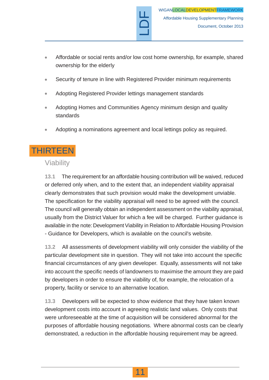Affordable or social rents and/or low cost home ownership, for example, shared  $\bullet$ ownership for the elderly

LDF

- Security of tenure in line with Registered Provider minimum requirements  $\blacksquare$
- Adopting Registered Provider lettings management standards
- Adopting Homes and Communities Agency minimum design and quality standards
- Adopting a nominations agreement and local lettings policy as required.  $\blacksquare$

## <span id="page-12-0"></span>THIRTEEN

#### Viability

**13.1** The requirement for an affordable housing contribution will be waived, reduced or deferred only when, and to the extent that, an independent viability appraisal clearly demonstrates that such provision would make the development unviable. The specification for the viability appraisal will need to be agreed with the council. The council will generally obtain an independent assessment on the viability appraisal, usually from the District Valuer for which a fee will be charged. Further guidance is available in the note: Development Viability in Relation to Affordable Housing Provision - Guidance for Developers, which is available on the council's website.

**13.2** All assessments of development viability will only consider the viability of the particular development site in question. They will not take into account the specific financial circumstances of any given developer. Equally, assessments will not take into account the specific needs of landowners to maximise the amount they are paid by developers in order to ensure the viability of, for example, the relocation of a property, facility or service to an alternative location.

**13.3** Developers will be expected to show evidence that they have taken known development costs into account in agreeing realistic land values. Only costs that were unforeseeable at the time of acquisition will be considered abnormal for the purposes of affordable housing negotiations. Where abnormal costs can be clearly demonstrated, a reduction in the affordable housing requirement may be agreed.

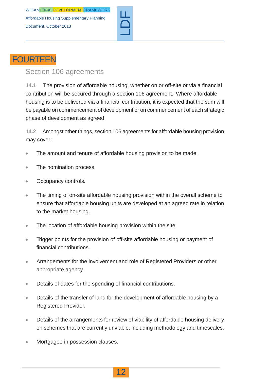

## **FOURTEEN**

#### <span id="page-13-0"></span>Section 106 agreements

**14.1** The provision of affordable housing, whether on or off-site or via a financial contribution will be secured through a section 106 agreement. Where affordable housing is to be delivered via a financial contribution, it is expected that the sum will be payable on commencement of development or on commencement of each strategic phase of development as agreed.

**14.2** Amongst other things, section 106 agreements for affordable housing provision may cover:

- The amount and tenure of affordable housing provision to be made.  $\blacksquare$
- The nomination process.  $\blacksquare$
- Occupancy controls.  $\bullet$
- The timing of on-site affordable housing provision within the overall scheme to  $\bullet$ ensure that affordable housing units are developed at an agreed rate in relation to the market housing.
- The location of affordable housing provision within the site.  $\bullet$
- Trigger points for the provision of off-site affordable housing or payment of  $\bullet$ financial contributions.
- Arrangements for the involvement and role of Registered Providers or other  $\bullet$ appropriate agency.
- Details of dates for the spending of financial contributions.  $\bullet$
- Details of the transfer of land for the development of affordable housing by a  $\bullet$ Registered Provider.
- Details of the arrangements for review of viability of affordable housing delivery  $\bullet$ on schemes that are currently unviable, including methodology and timescales.
- Mortgagee in possession clauses.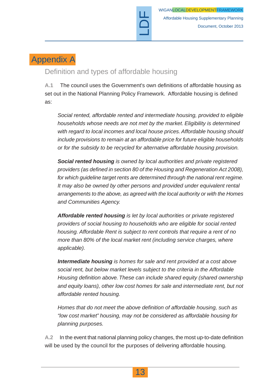## Appendix A

#### <span id="page-14-0"></span>Definition and types of affordable housing

**A.1** The council uses the Government's own definitions of affordable housing as set out in the National Planning Policy Framework. Affordable housing is defined as:

LDF

*Social rented, affordable rented and intermediate housing, provided to eligible households whose needs are not met by the market. Eligibility is determined with regard to local incomes and local house prices. Affordable housing should include provisions to remain at an affordable price for future eligible households or for the subsidy to be recycled for alternative affordable housing provision.*

*Social rented housing is owned by local authorities and private registered providers (as defined in section 80 of the Housing and Regeneration Act 2008), for which guideline target rents are determined through the national rent regime. It may also be owned by other persons and provided under equivalent rental arrangements to the above, as agreed with the local authority or with the Homes and Communities Agency.*

*Affordable rented housing is let by local authorities or private registered providers of social housing to households who are eligible for social rented housing. Affordable Rent is subject to rent controls that require a rent of no more than 80% of the local market rent (including service charges, where applicable).*

*Intermediate housing is homes for sale and rent provided at a cost above social rent, but below market levels subject to the criteria in the Affordable Housing definition above. These can include shared equity (shared ownership and equity loans), other low cost homes for sale and intermediate rent, but not affordable rented housing.*

*Homes that do not meet the above definition of affordable housing, such as "low cost market" housing, may not be considered as affordable housing for planning purposes.*

**A.2** In the event that national planning policy changes, the most up-to-date definition will be used by the council for the purposes of delivering affordable housing.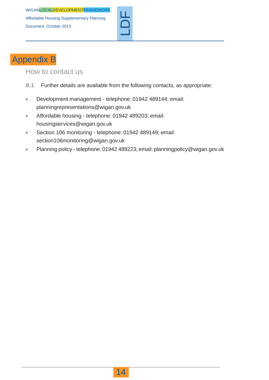

## Appendix B

#### <span id="page-15-0"></span>How to contact us

- **B.1** Further details are available from the following contacts, as appropriate:
- Development management telephone: 01942 489144; email:  $\bullet$ planningrepresentations@wigan.gov.uk
- Affordable housing telephone: 01942 489203; email:  $\bullet$ housingservices@wigan.gov.uk
- Section 106 monitoring telephone: 01942 489149; email:  $\bullet$ section106monitoring@wigan.gov.uk
- Planning policy telephone: 01942 489223; email: planningpolicy@wigan.gov.uk  $\bullet$